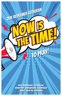

Our Redeemer Lutheran Ministry Expansion Campaign Daily Prayer Journal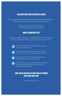#### Dear Brothers and Sisters in Christ!

The Lord has given us the beautiful gift of prayer. With His gracious invitation, we come to Him with our thanks, praise, and petitions all the "time!"

> No delay, buffering, or re-booting necessary. No worthiness or merit on our part required.

#### WHAT A BEAUTIFUL GIFT!

As we move forward on this journey of stewardship for our mission station, we reflect on many things. We invite you to pray four things for our family:



That we follow His will in all we do. And in doing so, we love one another more and more.



That the Good News of His never-ending love is heard and takes root in the hearts of all those He brings to our family.



That we are good stewards of ALL He has entrusted to us relationships, gifts, mission, campus needs, etc.



We invite you to pray for our campaign team (listed under the dates for each day) that they may be strengthened and encouraged in their labor of love.

#### May you be blessed in your time of prayer each and every day.

-Your Campaign Prayer Team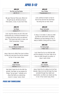### April 5-12

| <b>APRIL 5TH</b>                                                                                                                                                                                      | <b>APRIL GTH</b>                                                                                                                                                 |
|-------------------------------------------------------------------------------------------------------------------------------------------------------------------------------------------------------|------------------------------------------------------------------------------------------------------------------------------------------------------------------|
| Rev Rick and Peg Raabe                                                                                                                                                                                | <b>Gary Phillips</b>                                                                                                                                             |
| LSB 781 v1                                                                                                                                                                                            | 1 Thessalonians 4:1-2                                                                                                                                            |
| We give Thee but Thine own, What e'er<br>the gift may be; All that we have is<br>Thine alone, a trust, O Lord, from Thee.                                                                             | Lord, continue to teach us how to<br>live for You and love You and those<br>You bring into our lives. Amen                                                       |
| <b>APRIL 7TH</b>                                                                                                                                                                                      | <b>APRIL 8TH</b>                                                                                                                                                 |
| <b>Stef Wade</b>                                                                                                                                                                                      | Pastor Schroeder                                                                                                                                                 |
| Joshua 4:1-7                                                                                                                                                                                          | LSB 546 v3                                                                                                                                                       |
| Lord, may the stones we set in this new<br>construction be a continual reminder to us<br>to share with those whom we welcome<br>here; "This house was built on Jesus, our<br>Chief Cornerstone." Amen | O Jesus, O so sweet, O Jesus so mild!<br>Joy fills the world which sin defiled.<br>Whatever we have belongs to You; O<br>keep us faithful, strong and true. Amen |
| <b>APRIL 9TH</b>                                                                                                                                                                                      | <b>APRIL 10TH</b>                                                                                                                                                |
| Tom and Marjorie Dobberfuhl                                                                                                                                                                           | Tim Young Eagle                                                                                                                                                  |
| Psalm 51:10-13                                                                                                                                                                                        | 1 Peter 1:8-9                                                                                                                                                    |
| Jesus, help me to reflect Your love to others<br>so they too may know You and be renewed<br>by You. In Your name. Amen                                                                                | Lord, thank You for my child-like faith<br>and the salvation of my soul. Help me to<br>show my faith through my actions. In<br>Jesus' name, Amen                 |
|                                                                                                                                                                                                       |                                                                                                                                                                  |
| <b>APRIL 11TH</b>                                                                                                                                                                                     | <b>APRIL 12TH</b>                                                                                                                                                |
| Angie Kirchner<br>Hebrews 11:1-7                                                                                                                                                                      | Erin Janetzke<br>1 Peter 2:7-12                                                                                                                                  |
|                                                                                                                                                                                                       |                                                                                                                                                                  |
| Holy Spirit, thank You for the faith You                                                                                                                                                              | Jesus, thank You for calling me to be Your                                                                                                                       |
| provide. Like Noah, as we prepare for                                                                                                                                                                 | disciple. Help me to live the hope You have                                                                                                                      |
| things "not yet seen," motivate us to                                                                                                                                                                 | provided through Your death and                                                                                                                                  |
| share that faith as a welcoming<br>church. In Jesus' name. Amen                                                                                                                                       | resurrection, so others can clearly see You                                                                                                                      |
|                                                                                                                                                                                                       | in me. In Your name I pray, Amen                                                                                                                                 |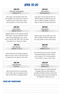### April 13-20

| <b>APRIL 13TH</b>                                                                                                                                                                                               | <b>APRIL 14TH</b>                                                                                                                                                                                           |
|-----------------------------------------------------------------------------------------------------------------------------------------------------------------------------------------------------------------|-------------------------------------------------------------------------------------------------------------------------------------------------------------------------------------------------------------|
| Jamie and Laura Kohlmeier                                                                                                                                                                                       | Noemi Hedrich                                                                                                                                                                                               |
| Leviticus 24:1-2                                                                                                                                                                                                | Deuteronomy 6:4-5                                                                                                                                                                                           |
| Dear Jesus, may the light of Your love<br>burn brightly in our hearts as we love one<br>another and the community in which<br>You've placed us. In Your name. Amen                                              | Lord Jesus, may we love You with our<br>WHOLE hearts, our WHOLE lives, and<br>with our WHOLE strength. Continue to<br>draw us closer to You each day. Amen                                                  |
| APRIL 15TH                                                                                                                                                                                                      | april 16th                                                                                                                                                                                                  |
| <b>Pastor Steinke</b>                                                                                                                                                                                           | Angela Becker                                                                                                                                                                                               |
| Mathew 18:10-13                                                                                                                                                                                                 | LSB 783 v4                                                                                                                                                                                                  |
| Heavenly Father, as we continue to build<br>YOUR house, may we remember that the<br>real cost was YOUR gift to us in Jesus.<br>And if I was the ONLY ONE LOST, He would<br>have died for me. Thank you, Father. | Take my silver and my gold, not a mite<br>would I withhold. Take my intellect and<br>use, every power as Thou shalt choose.                                                                                 |
| <b>APRIL 17TH</b>                                                                                                                                                                                               | <b>APRIL 18TH</b>                                                                                                                                                                                           |
| Jason Seymour                                                                                                                                                                                                   | Kathy Peli                                                                                                                                                                                                  |
| Hebrews 11:13-16                                                                                                                                                                                                | Matthew 5:10-12                                                                                                                                                                                             |
| Father, thank You for the gift of Heaven!<br>Help me to live in such a way that You are<br>not ashamed to be called my God. Amen                                                                                | Lord, help me to live in such a way that I<br>feel persecuted by the world. Forgive<br>me for trying to "fit" in this land that is<br>not my home. In Jesus' name. Amen                                     |
| <b>APRIL 19TH</b>                                                                                                                                                                                               | <b>APRIL 20TH</b>                                                                                                                                                                                           |
| Sarah Williamson                                                                                                                                                                                                | <b>Trevor Kirchner</b>                                                                                                                                                                                      |
| LSB 783 v1                                                                                                                                                                                                      | Matthew 6:24                                                                                                                                                                                                |
| Take my life and let it be consecrated,<br>Lord to Thee; take my moments and my<br>days, let them flow in ceaseless praise.                                                                                     | Dear Lord, relieve our anxiety about this<br>campaign. May we move forward in<br>complete confidence that You will provide<br>all we need in order to do Your will here at<br>Our Redeemer. Thank you, Lord |

#### Praise and Thanksgiving

-----------------------------\_\_\_\_\_\_\_\_\_\_\_\_\_\_\_\_\_\_\_\_\_\_\_\_\_\_\_\_\_\_\_\_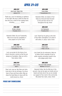### April 21-28

| <b>APRIL 21ST</b>                                                                                                                                                                                  | <b>APRIL 22ND</b>                                                                                                                                                                                                           |
|----------------------------------------------------------------------------------------------------------------------------------------------------------------------------------------------------|-----------------------------------------------------------------------------------------------------------------------------------------------------------------------------------------------------------------------------|
| John Scott / Mark Frith                                                                                                                                                                            | <b>Emily Halter</b>                                                                                                                                                                                                         |
| <b>James 5:16</b>                                                                                                                                                                                  | 1 Thessalonians 5:16                                                                                                                                                                                                        |
| Thank you, Lord, for declaring us righteous<br>in Your sight. We pray in faith for those we<br>love who are in need of Your healing hand,<br>including __________. Amen                            | Heavenly Father, we rejoice in You!<br>Keep my mind and heart focused<br>on You and Your love for me<br>throughout the day. Amen                                                                                            |
| APRIL 23RD                                                                                                                                                                                         | APRIL 24TH                                                                                                                                                                                                                  |
| Kirsten Johnson                                                                                                                                                                                    | Lori Sansoucie                                                                                                                                                                                                              |
| Proverbs 3:5-6                                                                                                                                                                                     | Proverbs 30:5                                                                                                                                                                                                               |
| Heavenly Father, You are Trustworthy.<br>Help me to trust You completely in<br>every aspect of my life. Amen                                                                                       | Lord, Thank You for giving us the truth<br>of Your Word. Strengthen us to share it<br>with others. In Jesus' name. Amen                                                                                                     |
| <b>APRIL 25TH</b>                                                                                                                                                                                  | <b>APRIL 26TH</b>                                                                                                                                                                                                           |
| <b>Carrie and Matt Tittl</b>                                                                                                                                                                       | Pastor Deen                                                                                                                                                                                                                 |
| 1 Corinthians 3:11-15                                                                                                                                                                              | 1 Peter 2:18-24                                                                                                                                                                                                             |
| Lord, as we plan for the future of our<br>church structure, remind us that You are<br>always our foundation. Align our will to<br>Yours alone, Amen                                                | Lord, thank You for endurance. Help me<br>to follow Christ's example of how to<br>suffer unjustly, entrusting myself to You<br>who judges justly. Amen                                                                      |
| <b>APRIL 27TH</b>                                                                                                                                                                                  | <b>APRIL 28TH</b>                                                                                                                                                                                                           |
| Joan Lackey                                                                                                                                                                                        | Dan and Cindie Zehnder                                                                                                                                                                                                      |
| Acts 4                                                                                                                                                                                             | Matthew 14:13-21                                                                                                                                                                                                            |
| Dear Lord, may we, like Peter and John,<br>trust only in You for all things. For all we<br>have is Yours and Yours alone. May we<br>share the Good News of Jesus with the<br>world around us. Amen | Heavenly Father, like the little boy in this<br>account, may we too open our hands and our<br>hearts and look only to You as we consider<br>our support of Your work in this community.<br>We praise Your name, Jesus. Amen |

#### Praise and Thanksgiving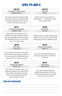## April 29-May 6

| <b>APRIL 29TH</b>                                                                                                                                                                                                 | <b>APRIL 30TH</b>                                                                                                                     |
|-------------------------------------------------------------------------------------------------------------------------------------------------------------------------------------------------------------------|---------------------------------------------------------------------------------------------------------------------------------------|
| Our Redeemer Faculty and Staff                                                                                                                                                                                    | Gordie Gohr                                                                                                                           |
| Ephesians 3:20-21                                                                                                                                                                                                 | Psalm 4                                                                                                                               |
| Dear Jesus, thank You for the gift of faith!<br>Please grow my faith to comprehend that<br>You will do abundantly more than all I ask<br>or think. In Your name I pray, Amen                                      | Answer me when I call, O God of my<br>righteousness!  Be gracious to me and<br>hear my prayer. Amen                                   |
| <b>MAY 1ST</b>                                                                                                                                                                                                    | <b>MAY 2ND</b>                                                                                                                        |
| Our Redeemer Worship Team                                                                                                                                                                                         | Linda Osterlie                                                                                                                        |
| Romans 7:15-25                                                                                                                                                                                                    | John 14:1                                                                                                                             |
| Father, thank You for paying for my sin<br>through the precious sacrifice of Your only<br>Son, Jesus. Strengthen me by Your Spirit to<br>face temptation and focus on Your will for<br>my life. In His name, Amen | Heavenly Father, no matter what this world<br>throws at us, we trust in You. Thank You for<br>sending Jesus' to be our Redeemer. Amen |
| <b>MAY 3RD</b>                                                                                                                                                                                                    | <b>MAY 4TH</b>                                                                                                                        |
| Maria Traska                                                                                                                                                                                                      |                                                                                                                                       |
|                                                                                                                                                                                                                   | Doug and Linda Knueppel                                                                                                               |
| 1 John 5:9-13                                                                                                                                                                                                     | Isaiah 47:4                                                                                                                           |
| Jesus, thank You for being our Living Hope.<br>Help my life be a testimony of Your love as to<br>how You have led me to KNOW that I have<br>eternal life. In Your name I pray, Amen                               | You, Lord, are our Redeemer. May we<br>praise your name forever. The Holy One.<br>Thank you!                                          |
| <b>MAY 5TH</b>                                                                                                                                                                                                    | <b>MAY GTH</b>                                                                                                                        |
| Esmeralda Perez-Macedo                                                                                                                                                                                            | Diane Heagney                                                                                                                         |
| Hebrews 12:3                                                                                                                                                                                                      | Colossians 3:23                                                                                                                       |

#### Praise and Thanksgiving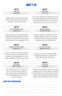### May 7-14

| <b>MAY 7TH</b>                                                                                                                                                                  | <b>MAY 8TH</b>                                                                                                                                                                           |
|---------------------------------------------------------------------------------------------------------------------------------------------------------------------------------|------------------------------------------------------------------------------------------------------------------------------------------------------------------------------------------|
| Kelley Kurth                                                                                                                                                                    | Kristen Henke                                                                                                                                                                            |
| <b>Psalm 26:8</b>                                                                                                                                                               | John 1:29                                                                                                                                                                                |
| Heavenly Father, thank You for the gift of<br>worship. Thank You for this church home<br>and family. In Jesus' name. Amen                                                       | I am Jesus' little lamb, Ever glad at heart I am;<br>For my Shepherd gently guides me, Knows my<br>needs and well provides me, Loves me every<br>day the same, Even calls me by my name. |
| МАУ 9ТН                                                                                                                                                                         | <b>MAY 10TH</b>                                                                                                                                                                          |
| Dave and Melissa Fockel                                                                                                                                                         | Renee Moldenhauer                                                                                                                                                                        |
| Romans 12:9                                                                                                                                                                     | Hebrews 10:24-25                                                                                                                                                                         |
| Father, may our love be genuine and true,<br>filtered through the gift of Your Word and<br>sacraments. And may YOUR grace abound<br>in our lives and in this congregation. Amen | Thank you, Jesus, for this Body of Christ. As<br>we gather together in Your name, to serve<br>You and each other, continue to encourage<br>us by the power of Your Spirit! Amen          |
|                                                                                                                                                                                 |                                                                                                                                                                                          |
| <b>MAY 11TH</b>                                                                                                                                                                 | <b>MAY 12TH</b>                                                                                                                                                                          |
| Anjanette and Marc Vaughan                                                                                                                                                      | Jane and Scott Goebli                                                                                                                                                                    |
| Romans 12:3                                                                                                                                                                     | Matthew 18:10-14                                                                                                                                                                         |
| Dear Lord, may we have humble and quiet<br>hearts as we ponder and prepare for the<br>work that You have prepared for us in the<br>weeks, months, and years to come. Amen       | Thank You, Lord! If I were the ONLY ONE,<br>You would have died for me. Praise be to<br>Father, Son and Holy Ghost! Amen                                                                 |
| <b>MAY 13TH</b>                                                                                                                                                                 | <b>MAY 14TH</b>                                                                                                                                                                          |
| Olivia Steiber                                                                                                                                                                  | Jenny Beyer                                                                                                                                                                              |
| Mark 12:41-44                                                                                                                                                                   | LW 398 v4                                                                                                                                                                                |

#### Praise and Thanksgiving